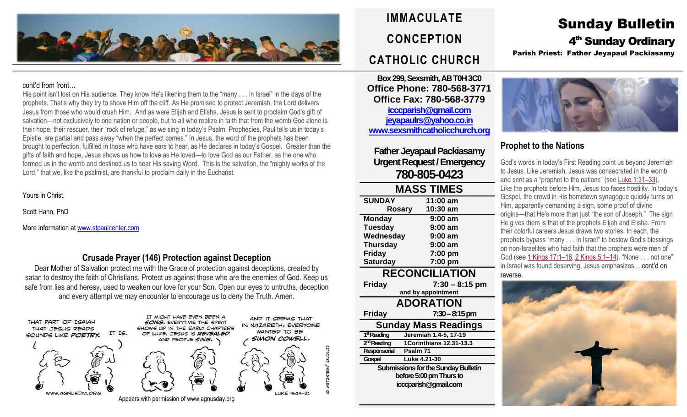

#### cont'd from front…

His point isn't lost on His audience. They know He's likening them to the "many . . . in Israel" in the days of the prophets. That's why they try to shove Him off the cliff. As He promised to protect Jeremiah, the Lord delivers Jesus from those who would crush Him. And as were Elijah and Elisha, Jesus is sent to proclaim God's gift of salvation—not exclusively to one nation or people, but to all who realize in faith that from the womb God alone is their hope, their rescuer, their "rock of refuge," as we sing in today's Psalm. Prophecies, Paul tells us in today's Epistle, are partial and pass away "when the perfect comes." In Jesus, the word of the prophets has been brought to perfection, fulfilled in those who have ears to hear, as He declares in today's Gospel. Greater than the gifts of faith and hope, Jesus shows us how to love as He loved—to love God as our Father, as the one who formed us in the womb and destined us to hear His saving Word. This is the salvation, the "mighty works of the Lord," that we, like the psalmist, are thankful to proclaim daily in the Eucharist.

Yours in Christ,

Scott Hahn, PhD

More information a[t www.stpaulcenter.com](http://www.stpaulcenter.com/)

### **Crusade Prayer (146) Protection against Deception**

Dear Mother of Salvation protect me with the Grace of protection against deceptions, created by satan to destroy the faith of Christians. Protect us against those who are the enemies of God. Keep us safe from lies and heresy, used to weaken our love for your Son. Open our eyes to untruths, deception and every attempt we may encounter to encourage us to deny the Truth. Amen.



# **IMMACULATE CONCEPTION CATHOLIC CHURCH**

**Box 299, Sexsmith, AB T0H 3C0 Office Phone: 780-568-3771 Office Fax: 780-568-3779 [icccparish@gmail.com](mailto:icccparish@gmail.com) [jeyapaulrs@yahoo.co.in](mailto:jeyapaulrs@yahoo.co.in) [www.sexsmithcatholicchurch.org](http://www.sexsmithcatholicchurch.org/)**

**Father Jeyapaul Packiasamy Urgent Request/Emergency 780-805-0423**

# **MASS TIMES**

| <b>SUNDAY</b>           | 11:00 am                                   |  |  |  |
|-------------------------|--------------------------------------------|--|--|--|
| <b>Rosary</b>           | 10:30 am                                   |  |  |  |
| <b>Monday</b>           | 9:00 am                                    |  |  |  |
| <b>Tuesday</b>          | 9:00 am                                    |  |  |  |
| Wednesday               | 9:00 am                                    |  |  |  |
| <b>Thursday</b>         | $9:00$ am                                  |  |  |  |
| <b>Friday</b>           | 7:00 pm                                    |  |  |  |
| <b>Saturday</b>         | 7:00 pm                                    |  |  |  |
| <b>RECONCILIATION</b>   |                                            |  |  |  |
| <b>Friday</b>           | $7:30 - 8:15$ pm                           |  |  |  |
|                         | and by appointment                         |  |  |  |
| <b>ADORATION</b>        |                                            |  |  |  |
|                         |                                            |  |  |  |
| Friday                  | $7:30-8:15 \text{ pm}$                     |  |  |  |
|                         | Sunday Mass Readings                       |  |  |  |
| 1 <sup>st</sup> Reading | Jeremiah 1.4-5, 17-19                      |  |  |  |
| 2 <sup>nd</sup> Reading | <b>1Corinthians 12.31-13.3</b>             |  |  |  |
| Responsorial            | Psalm 71                                   |  |  |  |
| Gospel                  | Luke 4.21-30                               |  |  |  |
|                         | <b>Submissions for the Sunday Bulletin</b> |  |  |  |
|                         | before 5:00 pm Thurs to                    |  |  |  |
|                         | icccparish@gmail.com                       |  |  |  |
|                         |                                            |  |  |  |

# Sunday Bulletin 4<sup>th</sup> Sunday Ordinary Parish Priest: Father Jeyapaul Packiasamy



# **Prophet to the Nations**

God's words in today's First Reading point us beyond Jeremiah to Jesus. Like Jeremiah, Jesus was consecrated in the womb and sent as a "prophet to the nations" (see [Luke](https://biblia.com/bible/rsvce/Luke%201.31%E2%80%9333) 1:31–33). Like the prophets before Him, Jesus too faces hostility. In today's Gospel, the crowd in His hometown synagogue quickly turns on Him, apparently demanding a sign, some proof of divine origins—that He's more than just "the son of Joseph." The sign He gives them is that of the prophets Elijah and Elisha. From their colorful careers Jesus draws two stories. In each, the prophets bypass "many . . . in Israel" to bestow God's blessings on non-Israelites who had faith that the prophets were men of God (see 1 [Kings](https://biblia.com/bible/rsvce/2%20Kings%205.1%E2%80%9314) 17:1-16; 2 Kings 5:1-14). "None . . . not one" in Israel was found deserving, Jesus emphasizes …cont'd on reverse.